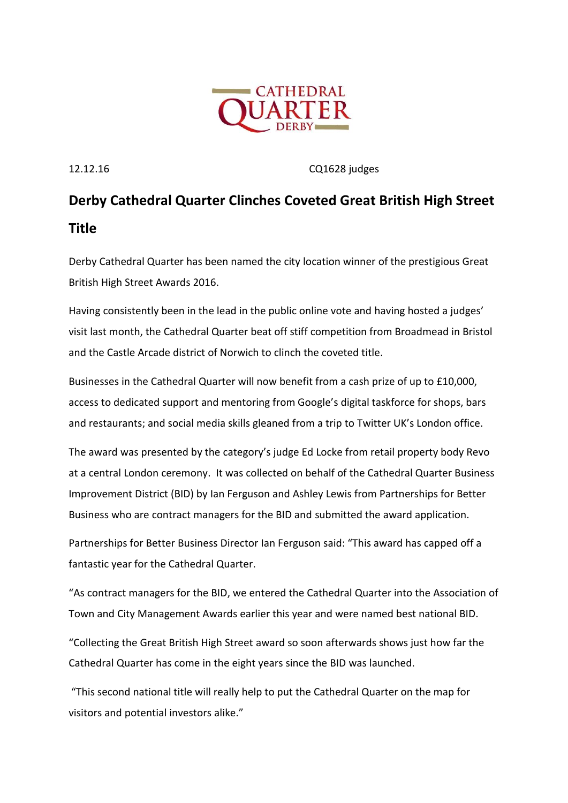

12.12.16 CQ1628 judges

## **Derby Cathedral Quarter Clinches Coveted Great British High Street Title**

Derby Cathedral Quarter has been named the city location winner of the prestigious Great British High Street Awards 2016.

Having consistently been in the lead in the public online vote and having hosted a judges' visit last month, the Cathedral Quarter beat off stiff competition from Broadmead in Bristol and the Castle Arcade district of Norwich to clinch the coveted title.

Businesses in the Cathedral Quarter will now benefit from a cash prize of up to £10,000, access to dedicated support and mentoring from Google's digital taskforce for shops, bars and restaurants; and social media skills gleaned from a trip to Twitter UK's London office.

The award was presented by the category's judge Ed Locke from retail property body Revo at a central London ceremony. It was collected on behalf of the Cathedral Quarter Business Improvement District (BID) by Ian Ferguson and Ashley Lewis from Partnerships for Better Business who are contract managers for the BID and submitted the award application.

Partnerships for Better Business Director Ian Ferguson said: "This award has capped off a fantastic year for the Cathedral Quarter.

"As contract managers for the BID, we entered the Cathedral Quarter into the Association of Town and City Management Awards earlier this year and were named best national BID.

"Collecting the Great British High Street award so soon afterwards shows just how far the Cathedral Quarter has come in the eight years since the BID was launched.

"This second national title will really help to put the Cathedral Quarter on the map for visitors and potential investors alike."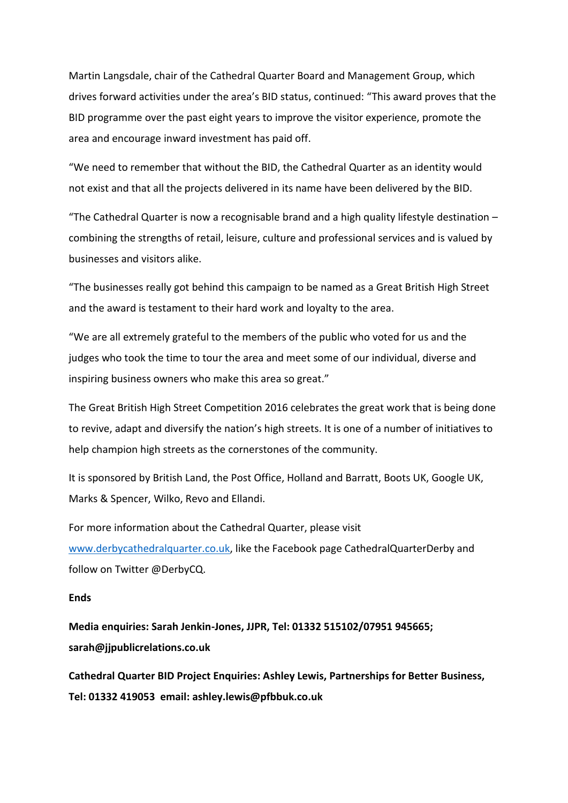Martin Langsdale, chair of the Cathedral Quarter Board and Management Group, which drives forward activities under the area's BID status, continued: "This award proves that the BID programme over the past eight years to improve the visitor experience, promote the area and encourage inward investment has paid off.

"We need to remember that without the BID, the Cathedral Quarter as an identity would not exist and that all the projects delivered in its name have been delivered by the BID.

"The Cathedral Quarter is now a recognisable brand and a high quality lifestyle destination – combining the strengths of retail, leisure, culture and professional services and is valued by businesses and visitors alike.

"The businesses really got behind this campaign to be named as a Great British High Street and the award is testament to their hard work and loyalty to the area.

"We are all extremely grateful to the members of the public who voted for us and the judges who took the time to tour the area and meet some of our individual, diverse and inspiring business owners who make this area so great."

The Great British High Street Competition 2016 celebrates the great work that is being done to revive, adapt and diversify the nation's high streets. It is one of a number of initiatives to help champion high streets as the cornerstones of the community.

It is sponsored by British Land, the Post Office, Holland and Barratt, Boots UK, Google UK, Marks & Spencer, Wilko, Revo and Ellandi.

For more information about the Cathedral Quarter, please visit [www.derbycathedralquarter.co.uk,](http://www.derbycathedralquarter.co.uk/) like the Facebook page CathedralQuarterDerby and follow on Twitter @DerbyCQ.

## **Ends**

**Media enquiries: Sarah Jenkin-Jones, JJPR, Tel: 01332 515102/07951 945665; sarah@jjpublicrelations.co.uk** 

**Cathedral Quarter BID Project Enquiries: Ashley Lewis, Partnerships for Better Business, Tel: 01332 419053 email: ashley.lewis@pfbbuk.co.uk**